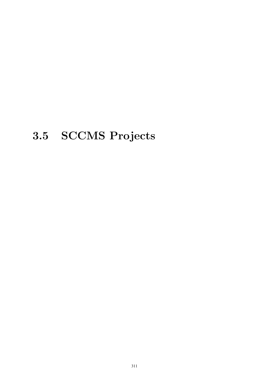# 3.5 SCCMS Projects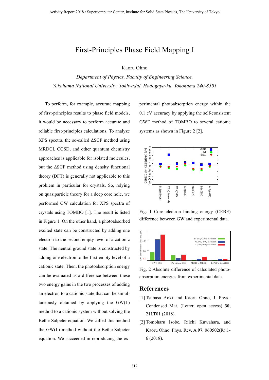### First-Principles Phase Field Mapping I

Kaoru Ohno

*Department of Physics, Faculty of Engineering Science, Yokohama National University, Tokiwadai, Hodogaya-ku, Yokohama 240-8501*

To perform, for example, accurate mapping of first-principles results to phase field models, it would be necessary to perform accurate and reliable first-principles calculations. To analyze XPS spectra, the so-called ΔSCF method using MRDCI, CCSD, and other quantum chemistry approaches is applicable for isolated molecules, but the ΔSCF method using density functional theory (DFT) is generally not applicable to this problem in particular for crystals. So, relying on quasiparticle theory for a deep core hole, we performed GW calculation for XPS spectra of crystals using TOMBO [1]. The result is listed in Figure 1. On the other hand, a photoabsorbed excited state can be constructed by adding one electron to the second empty level of a cationic state. The neutral ground state is constructed by adding one electron to the first empty level of a cationic state. Then, the photoabsorption energy can be evaluated as a difference between these two energy gains in the two processes of adding an electron to a cationic state that can be simultaneously obtained by applying the  $GW(\Gamma)$ method to a cationic system without solving the Bethe-Salpeter equation. We called this method the GW(Γ) method without the Bethe-Salpeter equation. We succeeded in reproducing the experimental photoabsorption energy within the 0.1 eV accuracy by applying the self-consistent GWΓ method of TOMBO to several cationic systems as shown in Figure 2 [2].



Fig. 1 Core electron binding energy (CEBE) difference between GW and experimental data.



Fig. 2 Absolute difference of calculated photoabsorption energies from experimental data.

- [1] Tsubasa Aoki and Kaoru Ohno, J. Phys.: Condensed Mat. (Letter, open access) **30**, 21LT01 (2018).
- [2] Tomoharu Isobe, Riichi Kuwahara, and Kaoru Ohno, Phys. Rev. A **97**, 060502(R);1- 6 (2018).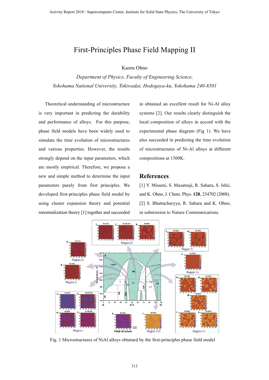### First-Principles Phase Field Mapping II

Kaoru Ohno

*Department of Physics, Faculty of Engineering Science, Yokohama National University, Tokiwadai, Hodogaya-ku, Yokohama 240-8501*

Theoretical understanding of microstructure is very important in predicting the durability and performance of alloys. For this purpose, phase field models have been widely used to simulate the time evolution of microstructures and various properties. However, the results strongly depend on the input parameters, which are mostly empirical. Therefore, we propose a new and simple method to determine the input parameters purely from first principles. We developed first-principles phase field model by using cluster expansion theory and potential renormalization theory [1] together and succeeded in obtained an excellent result for Ni-Al alloy systems [2]. Our results clearly distinguish the local composition of alloys in accord with the experimental phase diagram (Fig 1). We have also succeeded in predicting the time evolution of microstructures of Ni-Al alloys at different compositions at 1300K.

#### **References**

[1] Y. Misumi, S. Masatsuji, R. Sahara, S. Ishii, and K. Ohno, J. Chem. Phys. **128**, 234702 (2008). [2] S. Bhattacharyya, R. Sahara and K. Ohno, in submission to Nature Communications.



Fig. 1 Microstructures of NiAl alloys obtained by the first-principles phase field model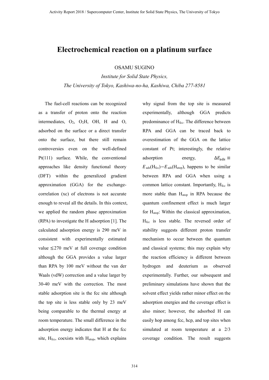### **Electrochemical reaction on a platinum surface**

OSAMU SUGINO

*Institute for Solid State Physics, The University of Tokyo, Kashiwa-no-ha, Kashiwa, Chiba 277-8581*

The fuel-cell reactions can be recognized as a transfer of proton onto the reaction intermediates,  $O_2$ ,  $O_2H$ , OH, H and O, adsorbed on the surface or a direct transfer onto the surface, but there still remain controversies even on the well-defined Pt(111) surface. While, the conventional approaches like density functional theory (DFT) within the generalized gradient approximation (GGA) for the exchangecorrelation (xc) of electrons is not accurate enough to reveal all the details. In this context, we applied the random phase approximation (RPA) to investigate the H adsorption [1]. The calculated adsorption energy is 290 meV in consistent with experimentally estimated value  $\leq$ 270 meV at full coverage condition although the GGA provides a value larger than RPA by 100 meV without the van der Waals (vdW) correction and a value larger by 30-40 meV with the correction. The most stable adsorption site is the fcc site although the top site is less stable only by 23 meV being comparable to the thermal energy at room temperature. The small difference in the adsorption energy indicates that H at the fcc site,  $H_{\text{fcc}}$ , coexists with  $H_{\text{atop}}$ , which explains

why signal from the top site is measured experimentally, although GGA predicts predominance of  $H_{\text{fcc}}$ . The difference between RPA and GGA can be traced back to overestimation of the GGA on the lattice constant of Pt; interestingly, the relative adsorption energy,  $\Delta E_{\text{ads}} \equiv$  $E_{ads}(H_{fcc})-E_{ads}(H_{atop})$ , happens to be similar between RPA and GGA when using a common lattice constant. Importantly,  $H_{\text{fcc}}$  is more stable than H<sub>atop</sub> in RPA because the quantum confinement effect is much larger for Hatop: Within the classical approximation, Hfcc is less stable. The reversed order of stability suggests different proton transfer mechanism to occur between the quantum and classical systems; this may explain why the reaction efficiency is different between hydrogen and deuterium as observed experimentally. Further, our subsequent and preliminary simulations have shown that the solvent effect yields rather minor effect on the adsorption energies and the coverage effect is also minor; however, the adsorbed H can easily hop among fcc, hcp, and top sites when simulated at room temperature at a 2/3 coverage condition. The result suggests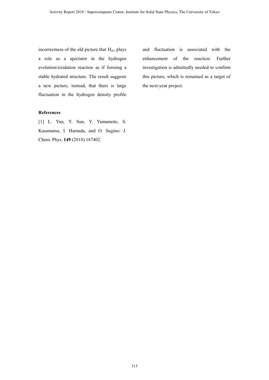incorrectness of the old picture that H<sub>fcc</sub> plays a role as a spectator in the hydrogen evolution/oxidation reaction as if forming a stable hydrated structure. The result suggests a new picture, instead, that there is large fluctuation in the hydrogen density profile

#### **References**

[1] L. Yan, Y. Sun, Y. Yamamoto, S. Kasamatsu, I. Hamada, and O. Sugino: J. Chem. Phys. **149** (2018) 167402.

and fluctuation is associated with the enhancement of the reaction: Further investigation is admittedly needed to confirm this picture, which is remained as a target of the next-year project.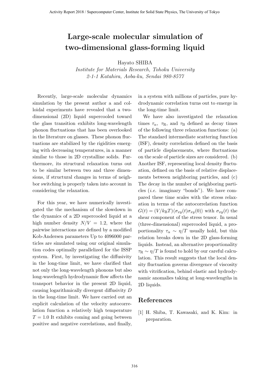# **Large-scale molecular simulation of two-dimensional glass-forming liquid**

Hayato SHIBA

*Institute for Materials Research, Tohoku University 2-1-1 Katahira, Aoba-ku, Sendai 980-8577*

Recently, large-scale molecular dynamics simulation by the present author a and colloidal experiments have revealed that a twodimensional (2D) liquid supercooled toward the glass transition exhibits long-wavelength phonon fluctuations that has been overlooked in the literature on glasses. These phonon fluctuations are stabilized by the rigidities emerging with decreasing temperatures, in a manner similar to those in 2D crystalline solids. Furthermore, its structural relaxation turns out to be similar between two and three dimensions, if structural changes in terms of neighbor switching is properly taken into account in considering the relaxation.

For this year, we have numerically investigated the the mechanism of the slowdown in the dynamics of a 2D supercooled liquid at a high number density  $N/V = 1.2$ , where the pairwise interactions are defined by a modified Kob-Andersen parameters Up to 4096000 particles are simulated using our original simulation codes optimally parallelized for the ISSP system. First, by investigating the diffusivity in the long-time limit, we have clarified that not only the long-wavelength phonons but also long-wavelength hydrodynamic flow affects the transport behavior in the present 2D liquid, causing logarithmically divergent diffusivity *D* in the long-time limit. We have carried out an explicit calculation of the velocity autocorrelation function a relatively high temperature  $T = 1.0$  It exhibits coming and going between positive and negative correlations, and finally, in a system with millions of particles, pure hydrodynamic correlation turns out to emerge in the long-time limit.

We have also investigated the relaxation times  $\tau_{\alpha}$ ,  $\tau_{\rm R}$ , and  $\tau_{\rm B}$  defined as decay times of the following three relaxation functions: (a) The standard intermediate scattering function (ISF), density correlation defined on the basis of particle displacements, where fluctuations on the scale of particle sizes are considered. (b) Another ISF, representing local density fluctuation, defined on the basis of relative displacements between neighboring particles, and (c) The decay in the number of neighboring particles (*i.e.* imaginary "bonds"). We have compared these time scales with the stress relaxation in terms of the autocorrelation function  $G(t) = (V/k_BT)\langle \sigma_{xy}(t)\sigma_{xy}(0)\rangle$  with  $\sigma_{xy}(t)$  the shear component of the stress tensor. In usual (three-dimensional) supercooled liquid, a proportionality  $\tau_{\alpha} \sim \eta/T$  usually hold, but this relation breaks down in the 2D glass-forming liquids. Instead, an alternative proportionality  $\tau_R \sim \eta/T$  is found to hold by our careful calculation. This result suggests that the local density fluctuation governs divergence of viscosity with vitrification, behind elastic and hydrodynamic anomalies taking at long-wavelengths in 2D liquids.

#### **References**

[1] H. Shiba, T. Kawasaki, and K. Kim: in preparation.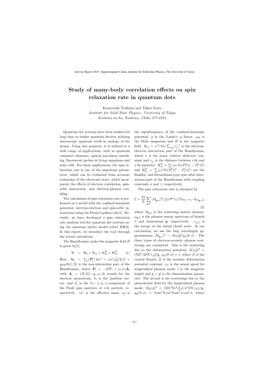# Study of many-body correlation effects on spin relaxation rate in quantum dots

Kazuyoshi Yoshimi and Takeo Kato Institute for Solid State Physics, University of Tokyo Kashiwa-no-ha, Kashiwa, Chiba 277-8581

Quantum dot systems have been studied for long time to realize quantum devices utilizing microscopic quantum levels in analogy of the atoms. Using this property, it is utilized in a wide range of applications, such as quantum computer elements, optical non-linear switching, fluorescent probes in living organisms and solar cells. For these applications, the spin relaxation rate is one of the important parameters, which can be evaluated from accurate evaluation of the electronic state, which incorporate the effects of electron correlation, spinorbit interaction, and electron-phonon coupling.

The calculation of spin relaxation rate is performed on a model with the confined-harmonic potential, electron-electron and spin-orbit interactions using the Fermi's golden rule[1]. Recently, we have developed a spin relaxation rate analysis tool for quantum dot systems using the quantum lattice model solver  $\mathcal{H}\Phi[2]$ . In this report, we introduce the tool through the actual calculation.

The Hamiltonian under the magnetic field B is given by[1]

$$
\mathcal{H} = \mathcal{H}_0 + \mathcal{H}_{ee} + \mathcal{H}_{so}^R + \mathcal{H}_{so}^D.
$$
 (1)

Here,  $\mathcal{H}_0 = \sum_i (\mathbf{P}_i^2 / 2m^* + (m^* \omega_0^2 / 2) r_i^2 +$  $g\mu_B B \sigma_i^z/2$  is the non-interaction part of the Hamiltonian, where  $P_i = -i\hbar \nabla_i + (e/c)A_i$ with  $A_i = (B/2)(-y_i, x_i, 0)$  stands for the electron momentum,  $r_i$  is the position vector, and  $\sigma_i^l$  is the  $l(=x, y, z)$ -component of the Pauli spin matrices at  $i$ -th particle, respectively.  $m^*$  is the effective mass,  $\omega_0$  is the eigenfrequency of the confined-harmonic potential, g is the Lande's g factor,  $\mu_B$  is the Bohr magneton and  $B$  is the magnetic field.  $\mathcal{H}_{ee} = (e^2/2\kappa) \sum_{i \neq j} r_{ij}^{-1}$  is the electronelectron interaction part of the Hamiltonian, where  $\kappa$  is the static relative dielectric constant and  $r_{ij}$  is the distance between *i*-th and j-th particles.  $\mathcal{H}_{so}^R = \sum_i (\alpha/\hbar) (P_i^y \sigma_i^z - P_i^x \sigma_i^y)$  $\binom{y}{i}$ and  $\mathcal{H}_{so}^D = \sum_i (\beta/\hbar) (P_i^y \sigma_i^y - P_i^x \sigma_i^x)$  are the Rashba- and Dresselhaus-type spin orbit interactions part of the Hamiltonian with coupling constants  $\alpha$  and  $\beta$ , respectively.

The spin relaxation rate is obtained by

$$
\Gamma = \frac{2\pi}{\hbar} \sum_{\mathbf{q},\lambda} |M_{\mathbf{q},\lambda}|^2 |\langle f|e^{i\mathbf{q}\cdot\mathbf{r}}|i\rangle|^2 \delta(\epsilon_f - \epsilon_i - \hbar\omega_{\mathbf{q},\lambda}),
$$
\n(2)

where  $M_{q,\lambda}$  is the scattering matrix element,  $\omega_{q,\lambda}$  is the phonon energy spectrum of branch  $\lambda$  and momentum  $q$ , respectively.  $\epsilon_{i(f)}$  is the energy at the initial (final) state. In our calculation, we use the long wavelength approximation  $|M_{\mathbf{q},\lambda}|^2 \sim M_{\lambda}(\tilde{q})^2 g_{\lambda}(\theta,\phi)$ . The three types of electron-acoustic phonon scatterings are considered. One is the scattering due to the deformation potential,  $M_{\lambda}(\tilde{q})^2$  =  $(\hbar \Xi^2/2DV v_{sl}l)\tilde{q}_l$ ,  $g_{sl}(\theta, \phi) = 1$ , where D is the crystal density, Ξ is the acoustic deformation potential constant,  $v_{sl}$  is the sound speed for longitudinal phonon mode,  $l$  is the magnetic length and  $\tilde{q} = ql$  is the dimensionless parameter. The second is the scatterings due to the piezoelectric field for the longitudinal phonon mode,  $M_{pl}(\tilde{q})^2 = (32\pi^2\hbar e^2 e_{14}^2 l/\kappa^2 DV v_{sl})/\bar{q}_l$ ,  $g_{pl}(\theta, \phi) = 9 \sin^4 \theta \cos^2 \theta \sin^2 \phi \cos^2 \phi$ , where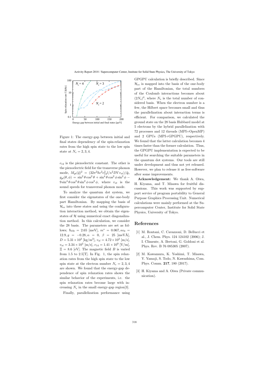

Figure 1: The energy-gap between initial and final states dependency of the spin-relaxation rates from the high spin state to the low spin state at  $N_e = 2, 3, 4$ .

 $e_{14}$  is the piezoelectric constant. The other is the piezoelectric field for the transverse phonon mode,  $M_{pt}(\tilde{q})^2 = (32\pi^2\hbar e^2 e_{14}^2 l/\kappa^2 DV v_{st})/\tilde{q}_l$ ,  $g_{pl}(\theta,\phi) = \sin^2\theta\cos^2\theta + \sin^4\theta\cos^2\phi\sin^2\phi 9\sin^4\theta\cos^2\theta\sin^2\phi\cos^2\phi$ , where  $v_{st}$  is the sound speeds for transversal phonon mode.

To analyze the quantum dot system, we first consider the eigenstates of the one-body part Hamiltonian. By mapping the basis of  $\mathcal{H}_{ee}$  into these states and using the configuration interaction method, we obtain the eigenstates of  $H$  using numerical exact diagonalization method. In this calculation, we consider the 28 basis. The parameters are set as follows;  $\hbar\omega_0 = 2.65$  [meV],  $m^* = 0.067$ ,  $\kappa\epsilon_0 =$  $12.9, g = -0.28, \alpha = 0, \beta = 25 \text{ [meVÅ]},$  $D = 5.31 \times 10^3 \text{ [kg/m}^3\text{]}, v_{sl} = 4.72 \times 10^3 \text{ [m/s]},$  $v_{st} = 3.34 \times 10^3 \text{ [m/s]}, e_{14} = 1.41 \times 10^9 \text{ [V/m]},$  $\Xi = 8.6$  [eV]. The magnetic field B is varied from 1.5 to  $2.5$ [T]. In Fig. 1, the spin relaxation rates from the high spin state to the low spin state at the electron number  $N_e = 2, 3, 4$ are shown. We found that the energy-gap dependence of spin relaxation rates shows the similar behavior of the experiments, i.e. the spin relaxation rates become large with increasing  $N_e$  in the small energy-gap region[3].

Finally, parallelization performance using

GPGPU calculation is briefly described. Since  $\mathcal{H}_{ee}$  is mapped into the basis of the one-body part of the Hamiltonian, the total numbers of the Coulomb interactions becomes about  $(2N_s)^4$ , where  $N_s$  is the total number of considered basis. When the electron number is a few, the Hilbert space becomes small and thus the parallelization about interaction terms is efficient. For comparison, we calculated the ground state on the 28 basis Hubbard model at 5 electrons by the hybrid parallelization with 72 processes and 12 threads (MPI+OpenMP) and 2 GPUs (MPI+GPGPU), respectively. We found that the latter calculation becomes 4 times faster than the former calculation. Thus, the GPGPU implementation is expected to be useful for searching the suitable parameters in the quantum dot systems. Our tools are still under development and thus not yet released. However, we plan to release it as free-software after some improvements.

Acknowledgement: We thank A. Oiwa, H. Kiyama, and T. Misawa for fruitful discussions. This work was supported by support service of program portability to General Purpose Graphics Processing Unit. Numerical calculations were mainly performed at the Supercomputer Center, Institute for Solid State Physics, University of Tokyo.

- [1] M. Rontani, C. Cavazzoni, D. Bellucci et al., J. Chem. Phys. 124 124102 (2006); J. I. Climente, A. Bertoni, G. Goldoni et al. Phys. Rev. B 76 085305 (2007).
- [2] M. Kawamura, K. Yoshimi, T. Misawa, Y. Yamaji, S. Todo, N. Kawashima, Com. Phys. Comm. 217, 180 (2017).
- [3] H. Kiyama and A. Oiwa (Private communication).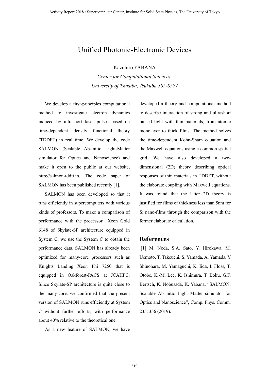### Unified Photonic-Electronic Devices

Kazuhiro YABANA

*Center for Computational Sciences, University of Tsukuba, Tsukuba 305-8577*

We develop a first-principles computational method to investigate electron dynamics induced by ultrashort laser pulses based on time-dependent density functional theory (TDDFT) in real time. We develop the code SALMON (Scalable Ab-initio Light-Matter simulator for Optics and Nanoscience) and make it open to the public at our website, http://salmon-tddft.jp. The code paper of SALMON has been published recently [1].

SALMON has been developed so that it runs efficiently in supercomputers with various kinds of professors. To make a comparison of performance with the processor Xeon Gold 6148 of Skylate-SP architecture equipped in System C, we use the System C to obtain the performance data. SALMON has already been optimized for many-core processors such as Knights Landing Xeon Phi 7250 that is equipped in Oakforest-PACS at JCAHPC. Since Skylate-SP architecture is quite close to the many-core, we confirmed that the present version of SALMON runs efficiently at System C without further efforts, with performance about 40% relative to the theoretical one.

As a new feature of SALMON, we have

developed a theory and computational method to describe interaction of strong and ultrashort pulsed light with thin materials, from atomic monolayer to thick films. The method solves the time-dependent Kohn-Sham equation and the Maxwell equations using a common spatial grid. We have also developed a twodimensional (2D) theory describing optical responses of thin materials in TDDFT, without the elaborate coupling with Maxwell equations. It was found that the latter 2D theory is justified for films of thickness less than 5nm for Si nano-films through the comparison with the former elaborate calculation.

#### **References**

[1] M. Noda, S.A. Sato, Y. Hirokawa, M. Uemoto, T. Takeuchi, S. Yamada, A. Yamada, Y Shinohara, M. Yamaguchi, K. Iida, I. Floss, T. Otobe, K.-M. Lee, K. Ishimura, T. Boku, G.F. Bertsch, K. Nobusada, K. Yabana, "SALMON: Scalable Ab-initio Light–Matter simulator for Optics and Nanoscience", Comp. Phys. Comm. 235, 356 (2019).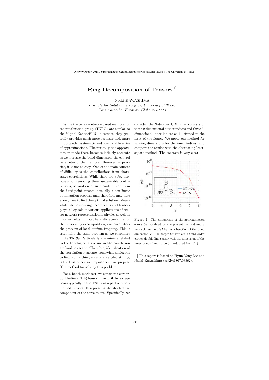## **Ring Decomposition of Tensors**[1]

Naoki KAWASHIMA

*Institute for Solid State Physics, University of Tokyo Kashiwa-no-ha, Kashiwa, Chiba 277-8581*

While the tensor-network-based methods for renormalization group (TNRG) are similar to the Migdal-Kadanoff RG in essense, they generally provides much more accurate and, more importantly, systematic and controllable series of approximations. Theoretically, the approximation made there becomes infinitly accurate as we increase the bond-dimension, the control parameter of the methods. However, in practice, it is not so easy. One of the main sources of difficulty is the contributions from shortrange correlations. While there are a few proposals for removing these undesirable contributions, separation of such contribution from the fixed-point tensors is usually a non-linear optimization problem and, therefore, may take a long time to find the optimal solution. Meanwhile, the tensor-ring decomposition of tensors plays a key role in various applications of tensor network representation in physics as well as in other fields. In most heuristic algorithms for the tensor-ring decomposition, one encounters the problem of local-minima trapping. This is essentially the same problem as we encounter in the TNRG. Particularly, the minima related to the topological structure in the correlation are hard to escape. Therefore, identification of the correlation structure, somewhat analogous to finding matching ends of entangled strings, is the task of central importance. We propose [1] a method for solving this problem.

For a bench-mark test, we consider a cornerdouble-line (CDL) tensor. The CDL tensor appears typically in the TNRG as a part of renormalized tensors. It represents the short-range component of the correlations. Specifically, we consider the 3rd-order CDL that consists of three 9-dimensional outher indices and three 3 dimensional inner indices as illustrated in the inset of the figure. We apply our method for varying dimensions for the inner indices, and compare the results with the alternating-leastsquare method. The contrast is very clear.



Figure 1: The comparison of the approximation errors  $\delta \psi$  obtained by the present method and a heuristic method (sALS) as a function of the bond dimension  $\chi$ . The target tensors are a third-order corner-double-line tensor with the dimension of the inner bonds fixed to be 3. (Adopted from [1])

[1] This report is based on Hyun-Yong Lee and Naoki Kawashima (arXiv:1807.03862).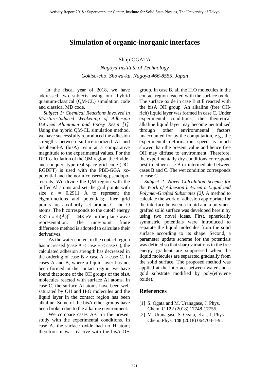### **Simulation of organic-inorganic interfaces**

#### Shuji OGATA

*Nagoya Institute of Technology Gokiso-cho, Showa-ku, Nagoya 466-8555, Japan*

 In the fiscal year of 2018, we have addressed two subjects using our, hybrid quantum-classical (QM-CL) simulation code and classical MD code.

 *Subject 1: Chemical Reactions Involved in Moisture-Induced Weakening of Adhesion Between Aluminum and Epoxy Resin [1].* Using the hybrid QM-CL simulation method, we have successfully reproduced the adhesion strengths between surface-oxidized Al and bisphenol-A (bisA) resin at a comparative magnitude to the experimental values. For the DFT calculation of the QM region, the divideand-conquer- type real-space grid code (DC-RGDFT) is used with the PBE-GGA xcpotential and the norm-conserving pseudopotentials. We divide the QM region with the buffer Al atoms and set the grid points with size  $h = 0.2911$  Å to represent the eigenfunctions and potentials; finer grid points are auxiliarily set around C and O atoms. The h corresponds to the cutoff energy 3.81  $(\pi/h(\text{\AA}))^2 = 443 \text{ eV}$  in the plane-wave representation. The nine-point finite difference method is adopted to calculate their derivatives.

As the water content in the contact region has increased (case  $A <$  case  $B <$  case C), the calculated adhesion strength has decreased in the ordering of case  $B > \cose A > \cose C$ . In cases A and B, where a liquid layer has not been formed in the contact region, we have found that some of the OH groups of the bisA molecules reacted with surface Al atoms. In case C, the surface Al atoms have been well saturated by OH and H2O molecules and the liquid layer in the contact region has been alkaline. Some of the bisA ether groups have been broken due to the alkaline environment.

 We compare cases A-C in the present study with the experimental conditions. In case A, the surface oxide had no H atom; therefore, it was reactive with the bisA OH

group. In case B, all the  $H_2O$  molecules in the contact region reacted with the surface oxide. The surface oxide in case B still reacted with the bisA OH group. An alkaline (free OHrich) liquid layer was formed in case C. Under experimental conditions, the theoretical alkaline liquid layer may become neutralized through other environmental factors unaccounted for by the computation, e.g., the experimental deformation speed is much slower than the present value and hence free OH may diffuse to environment. Therefore, the experimentally dry conditions correspond best to either case B or intermediate between cases B and C. The wet condition corresponds to case C.

 *Subject 2: Novel Calculation Scheme for the Work of Adhesion between a Liquid and Polymer-Grafted Substrates [2].* A method to calculate the work of adhesion appropriate for the interface between a liquid and a polymergrafted solid surface was developed herein by using two novel ideas. First, spherically symmetric potentials were introduced to separate the liquid molecules from the solid surface according to its shape. Second, a parameter update scheme for the potentials was defined so that sharp variations in the free energy gradient are suppressed when the liquid molecules are separated gradually from the solid surface. The proposed method was applied at the interface between water and a gold substrate modified by poly(ethylene oxide).

- [1] S. Ogata and M. Uranagase, J. Phys. Chem. C **122** (2018) 17748-17755.
- [2] M. Uranagase, S. Ogata, et al., J, Phys. Chem. Phys. **148** (2018) 064703-1-9..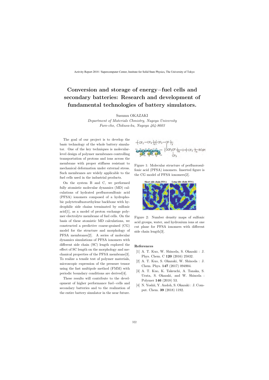# **Conversion and storage of energy***−***fuel cells and secondary batteries: Research and development of fundamental technologies of battery simulators.**

Susumu OKAZAKI

*Department of Materials Chmistry, Nagoya University Furo-cho, Chikusa-ku, Nagoya 464-8603*

The goal of our project is to develop the basic technology of the whole battery simulator. One of the key techniques is molecularlevel design of polymer membranes controlling transportation of protons and ions across the membrane with proper stiffness resistant to mechanical deformation under external stress. Such membranes are widely applicable to the fuel cells used in the industrial products.

On the system B and C, we performed fully atomistic molecular dynamics (MD) calculations of hydrated perfluorosulfonic acid (PFSA) ionomers composed of a hydrophobic polytetrafluoroethylene backbone with hydrophilic side chains terminated by sulfonic acid[1], as a model of proton exchange polymer electrolyte membrane of fuel cells. On the basis of these atomistic MD calculations, we constructed a predictive coarse-grained (CG) model for the structure and morphology of PFSA membranes[2]. A series of molecular dynamics simulations of PFSA ionomers with different side chain (SC) length explored the effect of SC length on the morphology and mechanical properties of the PFSA membrane[3]. To realize a tensile test of polymer materials, microscopic expression of the pressure tensor using the fast multipole method (FMM) with periodic boundary conditions are derived[4].

These results will contribute to the development of higher performance fuel*−*cells and secondary batteries and to the realization of the entire battery simulator in the near future.



Figure 1: Molecular structure of perfluorosulfonic acid (PFSA) ionomers. Inserted figure is the CG model of PFSA ionomers[2].



Figure 2: Number density maps of sulfonic acid groups, water, and hydronium ions at one cut plane for PFSA ionomers with different side chain length[3].

- [1] A. T. Kuo, W. Shinoda, S. Okazaki : J. Phys. Chem. C **120** (2016) 25832.
- [2] A. T. Kuo, S. Okazaki, W. Shinoda : J. Chem. Phys. **147** (2017) 094904.
- [3] A. T. Kuo, K. Takeuchi, A. Tanaka, S. Urata, S. Okazaki, and W. Shinoda : Polymer **146** (2018) 53.
- [4] N. Yoshii, Y. Andoh, S. Okazaki : J. Comput. Chem. **39** (2018) 1192.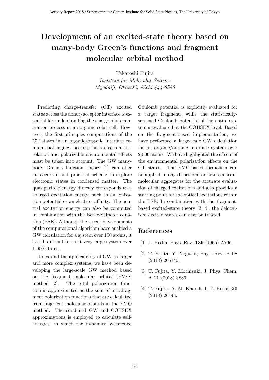# **Development of an excited-state theory based on many-body Green's functions and fragment molecular orbital method**

Takatoshi Fujita

*Institute for Molecular Science Myodaiji, Okazaki, Aichi 444-8585*

Predicting charge-transfer (CT) excited states across the donor/acceptor interface is essential for understanding the charge photogeneration process in an organic solar cell. However, the first-principles computations of the CT states in an organic/organic interface remain challenging, because both electron correlation and polarizable environmental effects must be taken into account. The GW manybody Green's function theory [1] can offer an accurate and practical scheme to explore electronic states in condensed matter. The quasiparticle energy directly corresponds to a charged excitation energy, such as an ionization potential or an electron affinity. The neutral excitation energy can also be computed in combination with the Bethe-Salpeter equation (BSE). Although the recent developments of the computational algorithm have enabled a GW calculation for a system over 100 atoms, it is still difficult to treat very large system over 1,000 atoms.

To extend the applicability of GW to larger and more complex systems, we have been developing the large-scale GW method based on the fragment molecular orbital (FMO) method [2]. The total polarization function is approximated as the sum of intrafragment polarization functions that are calculated from fragment molecular orbitals in the FMO method. The combined GW and COHSEX approximations is employed to calculate selfenergies, in which the dynamically-screened Coulomb potential is explicitly evaluated for a target fragment, while the statisticallyscreened Coulomb potential of the entire system is evaluated at the COHSEX level. Based on the fragment-based implementation, we have performed a large-scale GW calculation for an organic/organic interface system over 2,000 atoms. We have highlighted the effects of the environmental polarization effects on the CT states. The FMO-based formalism can be applied to any disordered or heterogeneous molecular aggregates for the accurate evaluation of charged excitations and also provides a starting point for the optical excitations within the BSE. In combination with the fragmentbased excited-state theory [3, 4], the delocalized excited states can also be treated.

- [1] L. Hedin, Phys. Rev. **139** (1965) A796.
- [2] T. Fujita, Y. Noguchi, Phys. Rev. B **98** (2018) 205140.
- [3] T. Fujita, Y. Mochizuki, J. Phys. Chem. A **11** (2018) 3886.
- [4] T. Fujita, A. M. Khorshed, T. Hoshi, **20** (2018) 26443.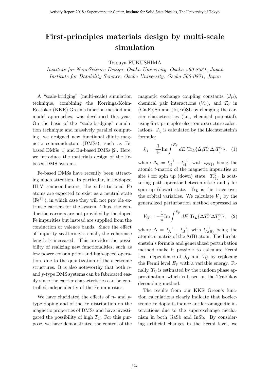# **First-principles materials design by multi-scale simulation**

Tetsuya FUKUSHIMA

*Institute for NanoScience Design, Osaka University, Osaka 560-8531, Japan Institute for Datability Science, Osaka University, Osaka 565-0871, Japan*

A "scale-bridging" (multi-scale) simulation technique, combining the Korringa-Kohn-Rostoker (KKR) Green's function method and model approaches, was developed this year. On the basis of the "scale-bridging" simulation technique and massively parallel computing, we designed new functional dilute magnetic semiconductors (DMSs), such as Febased DMSs [1] and Eu-based DMSs [2]. Here, we introduce the materials design of the Febased DMS systems.

Fe-based DMSs have recently been attracting much attention. In particular, in Fe-doped III-V semiconductors, the substitutional Fe atoms are expected to exist as a neutral state  $(Fe^{3+})$ , in which case they will not provide extrinsic carriers for the system. Thus, the conduction carriers are not provided by the doped Fe impurities but instead are supplied from the conduction or valence bands. Since the effect of impurity scattering is small, the coherence length is increased. This provides the possibility of realizing new functionalities, such as low power consumption and high-speed operation, due to the quantization of the electronic structures. It is also noteworthy that both *n*and *p*-type DMS systems can be fabricated easily since the carrier characteristics can be controlled independently of the Fe impurities.

We have elucidated the effects of *n*- and *p*type doping and of the Fe distribution on the magnetic properties of DMSs and have investigated the possibility of high  $T_{\rm C}$ . For this purpose, we have demonstrated the control of the magnetic exchange coupling constants  $(J_{ii})$ , chemical pair interactions  $(V_{ij})$ , and  $T_C$  in (Ga,Fe)Sb and (In,Fe)Sb by changing the carrier characteristics (i.e., chemical potential), using first-principles electronic structure calculations.  $J_{ij}$  is calculated by the Liechtenstein's formula:

$$
J_{ij} = \frac{1}{4\pi} \text{Im} \int^{E_{\rm F}} dE \, \text{Tr}_L \{ \Delta_i T_{\uparrow}^{ij} \Delta_j T_{\downarrow}^{ij} \}, \quad (1)
$$

where  $\Delta_i = t_{i\uparrow}^{-1} - t_{i\downarrow}^{-1}$ , with  $t_{i\uparrow(\downarrow)}$  being the atomic *t*-matrix of the magnetic impurities at site *i* for spin up (down) state.  $T_{\uparrow}^{ij}$  $\uparrow^{ij}$  is scattering path operator between site *i* and *j* for spin up (down) state. Tr*<sup>L</sup>* is the trace over the orbital variables. We calculate  $V_{ij}$  by the generalized perturbation method expressed as

$$
V_{ij} = -\frac{1}{\pi} \text{Im} \int^{E_{\rm F}} dE \, \text{Tr}_L \{ \Delta T_{\uparrow}^{ij} \Delta T_{\downarrow}^{ij} \}, \quad (2)
$$

where  $\Delta = t_{\text{A}}^{-1} - t_{\text{B}}^{-1}$ , with  $t_{\text{A(B)}}^{-1}$  being the atomic *t*-matrix of the A(B) atom. The Liechtenstein's formula and generalized perturbation method make it possible to calculate Fermi level dependence of  $J_{ij}$  and  $V_{ij}$  by replacing the Fermi level  $E_F$  with a variable energy. Finally,  $T_{\rm C}$  is estimated by the random phase approximation, which is based on the Tyablikov decoupling method.

The results from our KKR Green's function calculations clearly indicate that isoelectronic Fe dopants induce antiferromagnetic interactions due to the superexchange mechanism in both GaSb and InSb. By considering artificial changes in the Fermi level, we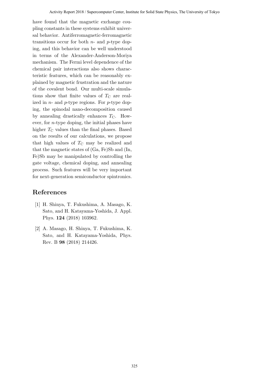have found that the magnetic exchange coupling constants in these systems exhibit universal behavior. Antiferromagnetic-ferromagnetic transitions occur for both *n*- and *p*-type doping, and this behavior can be well understood in terms of the Alexander-Anderson-Moriya mechanism. The Fermi level dependence of the chemical pair interactions also shows characteristic features, which can be reasonably explained by magnetic frustration and the nature of the covalent bond. Our multi-scale simulations show that finite values of  $T_{\rm C}$  are realized in *n*- and *p*-type regions. For *p*-type doping, the spinodal nano-decomposition caused by annealing drastically enhances  $T_{\rm C}$ . However, for *n*-type doping, the initial phases have higher  $T_{\rm C}$  values than the final phases. Based on the results of our calculations, we propose that high values of  $T_{\rm C}$  may be realized and that the magnetic states of (Ga, Fe)Sb and (In, Fe)Sb may be manipulated by controlling the gate voltage, chemical doping, and annealing process. Such features will be very important for next-generation semiconductor spintronics.

- [1] H. Shinya, T. Fukushima, A. Masago, K. Sato, and H. Katayama-Yoshida, J. Appl. Phys. **124** (2018) 103962.
- [2] A. Masago, H. Shinya, T. Fukushima, K. Sato, and H. Katayama-Yoshida, Phys. Rev. B **98** (2018) 214426.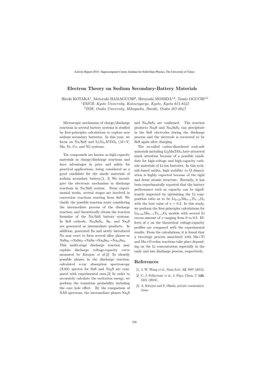#### **Electron Theory on Sodium Secondary-Battery Materials**

Hiroki KOTAKA<sup>1</sup>, Motoyuki HAMAGUCHI<sup>2</sup>, Hiroyoshi MOMIDA<sup>1,2</sup>, Tamio OGUCHI<sup>1,2</sup>

<sup>1</sup>*ESICB, Kyoto University, Katsuragoryo, Kyoto, Kyoto 615-8245*

2 *ISIR, Osaka University, Mihogaoka, Ibaraki, Osaka 567-0047*

Microscopic mechanism of charge/discharge reactions in several battery systems is studied by first-principles calculations to explore new sodium secondary batteries. In this year, we focus on Na/SnS and  $Li/Li_xMTiO_4$  ( $M=V$ , Mn, Fe, Co, and Ni) systems.

Tin compounds are known as high-capacity materials in charge/discharge reactions and have advantages in price and safety for practical applications, being considered as a good candidate for the anode materials of sodium secondary battery.[1, 2] We investigate the electronic mechanism in discharge reactions in Na/SnS system. From experimental works, several stages are involved in conversion reactions starting from SnS. We clarify the possible reaction route considering the intermediate process of the discharge reaction, and theoretically obtain the reaction formulae of the Na*/*SnS battery systems. In SnS cathode, Na<sub>4</sub>SnS<sub>4</sub>, Sn, and Na<sub>2</sub>S are generated as intermediate products. In addition, generated Sn and newly introduced Na may react to form several alloy phases as NaSn5*→*NaSn2*→*NaSn*→*Na9Sn4*→*Na15Sn4.

This multi-stage discharge reaction may explain discharge voltage-capacity curve measured by Kitajou *et al*.[3] To identify possible phases in the discharge reaction, calculated x-ray absorption spectroscopy  $(XAS)$  spectra for SnS and Na<sub>2</sub>S are compared with experimental ones.[3] In order to accurately calculate the excitation energy, we perform the transition probability including the core hole effect. By the comparison of XAS spectrum, the intermediate phases  $\text{Na}_2\text{S}$  and  $\text{Na}_4\text{SnS}_4$  are confirmed. The reaction products Na2S and Na4SnS<sup>4</sup> can precipitate in the SnS electrodes during the discharge process and the electrode is recovered to be SnS again after charging.

The so-called cation-disordered rock-salt materials including  $Li<sub>2</sub>MnTiO<sub>4</sub>$  have attracted much attention because of a possible candidate for high-voltage and high-capacity cathode materials of Li-ion batteries. In this rocksalt-based oxides, high stability to O dissociation is highly expected because of the rigid and dense atomic structure. Recently, it has been experimentally reported that the battery performance such as capacity can be significantly improved by optimizing the Li composition ratio as to be  $Li_{2+2x}Mn_{1-x}Ti_{1-x}O_4$ with the best value of  $x \sim 0.2$ . In this study, we perform the first-principles calculations for  $Li_{2+2x}Mn_{1-x}Ti_{1-x}O_4$  models with several Li excess amount of *x* ranging from 0 to 0.5. Effects of *x* on the theoretical voltage-capacity profiles are compared with the experimental results. From the calculations, it is found that a two-stage process associated with Mn+Ti and Mn+O redox reactions take place depending on the Li concentration especially in the early and late discharge process, respectively.

- [1] J. W. Wang *et al*., Nano Lett. **12**, 5897 (2012).
- [2] C. J. Pelliccione *et al*., J. Phys. Chem. C **120**, 5331 (2016).
- [3] A. Kitajou and S. Okada, private communications.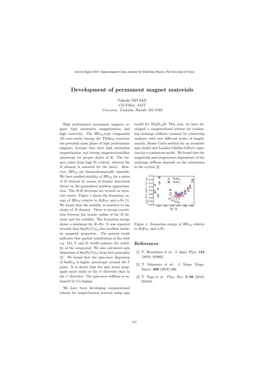### **Development of permanent magnet materials**

Takashi MIYAKE

*CD-FMat, AIST Umezono, Tsukuba, Ibaraki 305-8568*

High performance permanent magnets require high saturation magnetization and high coercivity. The *R*Fe<sub>12</sub>-type compounds  $(R=$ rare-earth) having the Th $Mn_{12}$  structure are potential main phase of high performance magnets, because they have high saturation magnetization and strong magnetoctystalline anisotropy for proper choice of *R*. The former comes from high Fe content, whereas the *R* element is essential for the latter. However, RFe<sub>12</sub> are thermodynamically unstable. We have studied stability of  $RFe_{12}$  for a series of *R* element by means of density functional theory in the generalized gradient approximation. The *R*-4f electrons are treated as opencore states. Figure 1 shows the formation energy of  $RFe_{12}$  relative to  $R_2Fe_{17}$  and  $\alpha$ -Fe [1]. We found that the stability is sensitive to the choice of *R* element. There is strong correlation between the atomic radius of the *R* element and the stability. The formation energy shows a minimum for *R*=Dy. It was reported recently that  $Sm(Fe, Co)_{12}$  has excellent intrinsic magnetic properties. The present result indicates that partial substitution of Sm with e.g. Gd, Y and Zr would enhance the stability of the compound. We also calculated spin dispersion of  $Sm(Fe, Co)_{12}$  from first-principles [2]. We found that the spin-wave dispersion of  $SmFe_{12}$  is highly anisotropic around the Γ point. It is shown that the spin waves propagate more easily in the *a ∗* -direction than in the *c ∗* -direction. The spin-wave stiffness is enhanced by Co-doping.

We have been developing computational scheme for magnetization reversal using spin model for  $Nd_2Fe_{14}B$ . This year, we have developed a computational scheme for evaluating exchange stiffness constant by connecting analyses with two different scales of length, namely, Monte Carlo method for an atomistic spin model and Landau-Lifshitz-Gilbert equation for a continuous model. We found that the magnitude and temperature dependence of the exchange stiffness depends on the orientation in the crystal [3].



Figure 1: Formation energy of *RFe*<sup>12</sup> relative to  $R_2$ Fe<sub>17</sub> and  $\alpha$ -Fe.

- [1] Y. Harashima et al.: J. Appl. Phys. **124** (2018) 163902.
- [2] T. Fukazawa et al.: J. Magn. Magn. Mater. **469** (2019) 296.
- [3] Y. Toga et al.: Phys. Rev. B **98** (2018) 054418.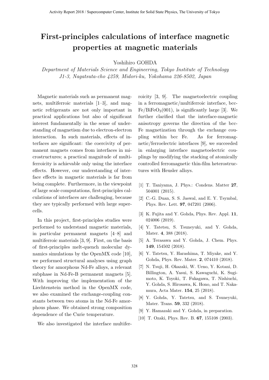# First-principles calculations of interface magnetic properties at magnetic materials

Yoshihiro GOHDA

Department of Materials Science and Engineering, Tokyo Institute of Technology J1-3, Nagatsuta-cho 4259, Midori-ku, Yokohama 226-8502, Japan

Magnetic materials such as permanent magnets, multiferroic materials [1–3], and magnetic refrigerants are not only important in practical applications but also of significant interest fundamentally in the sense of understanding of magnetism due to electron-electron interaction. In such materials, effects of interfaces are significant: the coercivity of permanent magnets comes from interfaces in microstructures; a practical magnitude of multiferroicity is achievable only using the interface effects. However, our understanding of interface effects in magnetic materials is far from being complete. Furthermore, in the viewpoint of large scale computations, first-principles calculations of interfaces are challenging, because they are typically performed with large supercells.

In this project, first-principles studies were performed to understand magnetic materials, in particular permanent magnets [4–8] and multiferroic materials [3, 9]. First, on the basis of first-principles melt-quench molecular dynamics simulations by the OpenMX code [10], we performed structural analyses using graph theory for amorphous Nd-Fe alloys, a relevant subphase in Nd-Fe-B permanent magnets [5]. With improving the implementation of the Liechtenstein method in the OpenMX code, we also examined the exchange-coupling constants between two atoms in the Nd-Fe amorphous phase. We obtained strong composition dependence of the Curie temperature.

We also investigated the interface multifer-

roicity [3, 9]. The magnetoelectric coupling in a ferromagnetic/multiferroic interface, bcc- $Fe/BiFeO<sub>3</sub>(001)$ , is significantly large [3]. We further clarified that the interface-magnetic anisotropy governs the direction of the bcc-Fe magnetization through the exchange coupling within bcc Fe. As for ferromagnetic/ferroelectric interfaces [9], we succeeded in enlarging interface magnetoelectric couplings by modifying the stacking of atomically controlled ferromagnetic thin-film heterostructures with Heusler alloys.

- [1] T. Taniyama, J. Phys.: Condens. Matter 27, 504001 (2015).
- [2] C.-G. Duan, S. S. Jaswal, and E. Y. Tsymbal, Phys. Rev. Lett. 97, 047201 (2006).
- [3] K. Fujita and Y. Gohda, Phys. Rev. Appl. 11, 024006 (2019).
- [4] Y. Tatetsu, S. Tsuneyuki, and Y. Gohda, Mater. 4, 388 (2018).
- [5] A. Terasawa and Y. Gohda, J. Chem. Phys. 149, 154502 (2018).
- [6] Y. Tatetsu, Y. Harashima, T. Miyake, and Y. Gohda, Phys. Rev. Mater. 2, 074410 (2018).
- [7] N. Tsuji, H. Okazaki, W. Ueno, Y. Kotani, D. Billington, A. Yasui, S. Kawaguchi, K. Sugimoto, K. Toyoki, T. Fukagawa, T. Nishiuchi, Y. Gohda, S. Hirosawa, K. Hono, and T. Nakamura, Acta Mater. 154, 25 (2018).
- [8] Y. Gohda, Y. Tatetsu, and S. Tsuneyuki, Mater. Trans. 59, 332 (2018).
- [9] Y. Hamazaki and Y. Gohda, in preparation.
- [10] T. Ozaki, Phys. Rev. B. **67**, 155108 (2003).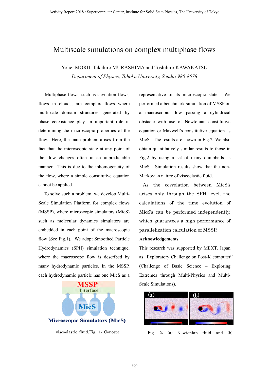### Multiscale simulations on complex multiphase flows

Yohei MORII, Takahiro MURASHIMA and Toshihiro KAWAKATSU *Department of Physics, Tohoku University, Sendai 980-8578*

Multiphase flows, such as cavitation flows, flows in clouds, are complex flows where multiscale domain structures generated by phase coexistence play an important role in determining the macroscopic properties of the flow. Here, the main problem arises from the fact that the microscopic state at any point of the flow changes often in an unpredictable manner. This is due to the inhomogeneity of the flow, where a simple constitutive equation cannot be applied.

To solve such a problem, we develop Multi-Scale Simulation Platform for complex flows (MSSP), where microscopic simulators (MicS) such as molecular dynamics simulators are embedded in each point of the macroscopic flow (See Fig.1). We adopt Smoothed Particle Hydrodynamics (SPH) simulation technique, where the macroscopc flow is described by many hydrodynamic particles. In the MSSP, each hydrodynamic particle has one MicS as a



representative of its microscopic state. We performed a benchmark simulation of MSSP on a macroscopic flow passing a cylindrical obstacle with use of Newtonian constitutive equation or Maxwell's constitutive equation as MicS. The results are shown in Fig.2. We also obtain quantitatively similar results to those in Fig.2 by using a set of many dumbbells as MicS. Simulation results show that the non-Markovian nature of viscoelastic fluid.

 As the correlation between MicS's arises only through the SPH level, the calculations of the time evolution of MicS's can be performed independently, which guarantees a high performance of parallelization calculation of MSSP.

#### **Acknowledgements**

This research was supported by MEXT, Japan as "Exploratory Challenge on Post-K computer" (Challenge of Basic Science – Exploring Extremes through Multi-Physics and Multi-Scale Simulations).



viscoelastic fluid.Fig. 1: Concept Fig. 2: (a) Newtonian fluid and (b)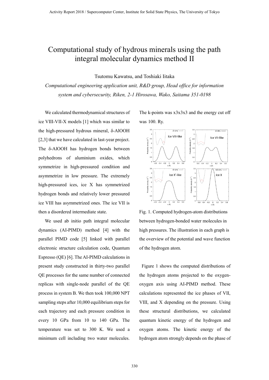# Computational study of hydrous minerals using the path integral molecular dynamics method II

Tsutomu Kawatsu, and Toshiaki Iitaka

*Computational engineering application unit, R&D group, Head office for information system and cybersecurity, Riken, 2-1 Hirosawa, Wako, Saitama 351-0198*

We calculated thermodynamical structures of ice VIII-VII-X models [1] which was similar to the high-pressured hydrous mineral, δ-AlOOH [2,3] that we have calculated in last-year project. The δ-AlOOH has hydrogen bonds between polyhedrons of aluminium oxides, which symmetrize in high-pressured condition and asymmetrize in low pressure. The extremely high-pressured ices, ice X has symmetrized hydrogen bonds and relatively lower pressured ice VIII has asymmetrized ones. The ice VII is then a disordered intermediate state.

We used ab initio path integral molecular dynamics (AI-PIMD) method [4] with the parallel PIMD code [5] linked with parallel electronic structure calculation code, Quantum Espresso (QE) [6]. The AI-PIMD calculations in present study constructed in thirty-two parallel QE processes for the same number of connected replicas with single-node parallel of the QE process in system B. We then took 100,000 NPT sampling steps after  $10,000$  equilibrium steps for each trajectory and each pressure condition in every 10 GPa from 10 to 140 GPa. The temperature was set to 300 K. We used a minimum cell including two water molecules.

The k-points was  $x3x3x3$  and the energy cut off was 100. Ry.



Fig. 1. Computed hydrogen-atom distributions between hydrogen-bonded water molecules in high pressures. The illustration in each graph is the overview of the potential and wave function of the hydrogen atom.

Figure 1 shows the computed distributions of the hydrogen atoms projected to the oxygenoxygen axis using AI-PIMD method. These calculations represented the ice phases of VII, VIII, and X depending on the pressure. Using these structural distributions, we calculated quantum kinetic energy of the hydrogen and oxygen atoms. The kinetic energy of the hydrogen atom strongly depends on the phase of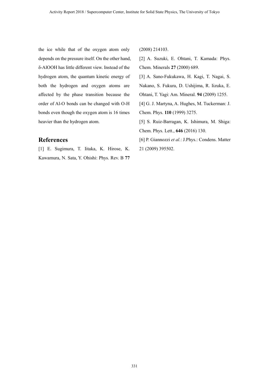the ice while that of the oxygen atom only depends on the pressure itself. On the other hand, δ-AlOOH has little different view. Instead of the hydrogen atom, the quantum kinetic energy of both the hydrogen and oxygen atoms are affected by the phase transition because the order of Al-O bonds can be changed with O-H bonds even though the oxygen atom is 16 times heavier than the hydrogen atom.

#### **References**

[1] E. Sugimura, T. Iitaka, K. Hirose, K. Kawamura, N. Sata, Y. Ohishi: Phys. Rev. B **77** (2008) 214103.

[2] A. Suzuki, E. Ohtani, T. Kamada: Phys. Chem. Minerals **27** (2000) 689.

[3] A. Sano-Fukukawa, H. Kagi, T. Nagai, S. Nakano, S. Fukura, D. Ushijima, R. Iizuka, E. Ohtani, T. Yagi: Am. Mineral. **94** (2009) 1255.

[4] G. J. Martyna, A. Hughes, M. Tuckerman: J. Chem. Phys. **110** (1999) 3275.

[5] S. Ruiz-Barragan, K. Ishimura, M. Shiga: Chem. Phys. Lett., **646** (2016) 130.

[6] P. Giannozzi *et al.*: J.Phys.: Condens. Matter 21 (2009) 395502.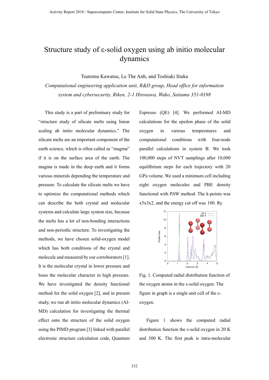# Structure study of ε-solid oxygen using ab initio molecular dynamics

Tsutomu Kawatsu, Le The Anh, and Toshiaki Iitaka

*Computational engineering application unit, R&D group, Head office for information system and cybersecurity, Riken, 2-1 Hirosawa, Wako, Saitama 351-0198*

This study is a part of preliminary study for "structure study of silicate melts using linear scaling ab initio molecular dynamics." The silicate melts are an important component of the earth science, which is often called as "magma" if it is on the surface area of the earth. The magma is made in the deep earth and it forms various minerals depending the temperature and pressure. To calculate the silicate melts we have to optimize the computational methods which can describe the both crystal and molecular systems and calculate large system size, because the melts has a lot of non-bonding interactions and non-periodic structure. To investigating the methods, we have chosen solid-oxygen model which has both conditions of the crystal and molecule and measured by our corroborators[1]. It is the molecular crystal in lower pressure and loses the molecular character in high pressure. We have investigated the density functional method for the solid oxygen [2], and in present study, we run ab initio molecular dynamics (AI-MD) calculation for investigating the thermal effect onto the structure of the solid oxygen using the PIMD program [3] linked with parallel electronic structure calculation code, Quantum Espresso (QE) [4]. We performed AI-MD calculations for the epsilon phase of the solid oxygen in various temperatures and computational conditions with four-node parallel calculations in system B. We took 100,000 steps of NVT samplings after 10,000 equilibrium steps for each trajectory with 20 GPa volume. We used a minimum cell including eight oxygen molecules and PBE density functional with PAW method. The k-points was x5x3x2, and the energy cut off was 100. Ry.



Fig. 1. Computed radial distribution function of the oxygen atoms in the ε-solid oxygen. The figure in graph is a single unit cell of the εoxygen.

Figure 1 shows the computed radial distribution function the ε-solid oxygen in 20 K and 300 K. The first peak is intra-molecular